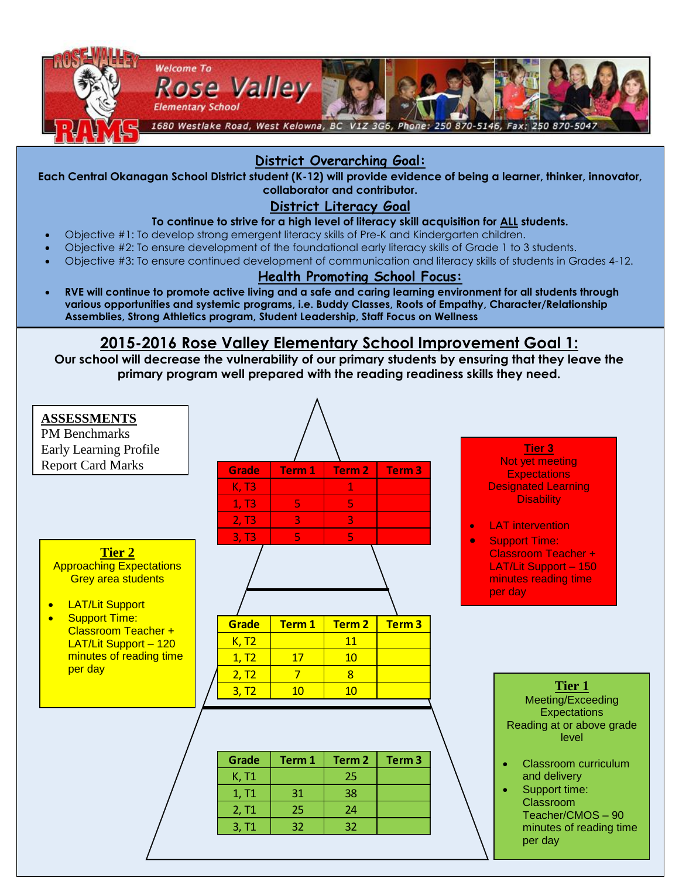

## **District Overarching Goal:**

**Each Central Okanagan School District student (K-12) will provide evidence of being a learner, thinker, innovator, collaborator and contributor.**

### **District Literacy Goal**

#### **To continue to strive for a high level of literacy skill acquisition for ALL students.**

- Objective #1: To develop strong emergent literacy skills of Pre-K and Kindergarten children.
- Objective #2: To ensure development of the foundational early literacy skills of Grade 1 to 3 students.
- Objective #3: To ensure continued development of communication and literacy skills of students in Grades 4-12.

#### **Health Promoting School Focus:**

 **RVE will continue to promote active living and a safe and caring learning environment for all students through various opportunities and systemic programs, i.e. Buddy Classes, Roots of Empathy, Character/Relationship Assemblies, Strong Athletics program, Student Leadership, Staff Focus on Wellness** 

#### **2015-2016 Rose Valley Elementary School Improvement Goal 1: RVE will introduce the one goal statement through assemblies, classroom lessons, displays and announcements**.

**Our school will decrease the vulnerability of our primary students by ensuring that they leave the primary program well prepared with the reading readiness skills they need.**